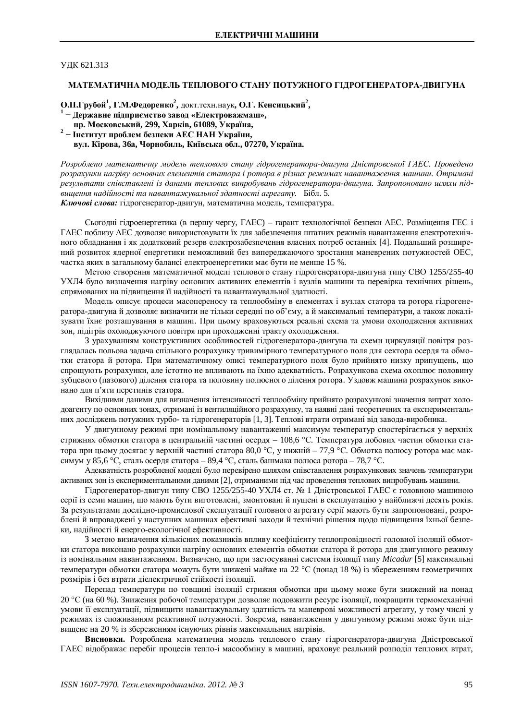## **УЛК 621.313**

## МАТЕМАТИЧНА МОДЕЛЬ ТЕПЛОВОГО СТАНУ ПОТУЖНОГО ГІДРОГЕНЕРАТОРА-ДВИГУНА

**ɈɉȽɪɭɛɨɣ<sup>1</sup> , ȽɆɎɟɞɨɪɟɧɤɨ<sup>2</sup> ,** ɞɨɤɬɬɟɯɧɧɚɭɤ**, ɈȽ. Ʉɟɧɫɢɰɶɤɢɣ<sup>2</sup> , 1 íȾɟɪɠɚɜɧɟɩɿɞɩɪɢɽɦɫɬɜɨɡɚɜɨɞ «ȿɥɟɤɬɪɨɜɚɠɦɚɲ»,**

**пр. Московський, 299, Харків, 61089, Україна,** 

<sup>2</sup> – Інститут проблем безпеки АЕС НАН України,

 $B$ ул. Кірова, 36а, Чорнобиль, Київська обл., 07270, Україна.

Розроблено математичну модель теплового стану гідрогенератора-двигуна Дністровської ГАЕС. Проведено  $po$ зрахунки нагріву основних елементів статора і ротора в різних режимах навантаження машини. Отримані результати співставлені із даними теплових випробувань гідрогенератора-двигуна. Запропоновано шляхи під*ɜɢɳɟɧɧɹɧɚɞɿɣɧɨɫɬɿɬɚɧɚɜɚɧɬɚɠɭɜɚɥɶɧɨʀɡɞɚɬɧɨɫɬɿɚɝɪɟɝɚɬɭ.* Ȼɿɛɥ. 5. Ключові слова: гідрогенератор-двигун, математична модель, температура.

Сьогодні гідроенергетика (в першу чергу, ГАЕС) – гарант технологічної безпеки АЕС. Розміщення ГЕС і ГАЕС поблизу АЕС дозволяє використовувати їх для забезпечення штатних режимів навантаження електротехнічного обладнання і як додатковий резерв електрозабезпечення власних потреб останніх [4]. Подальший розширений розвиток ядерної енергетики неможливий без випереджаючого зростання маневрених потужностей ОЕС, частка яких в загальному балансі електроенергетики має бути не менше 15 %.

Метою створення математичної моделі теплового стану гідрогенератора-двигуна типу СВО 1255/255-40 УХЛ4 було визначення нагріву основних активних елементів і вузлів машини та перевірка технічних рішень, спрямованих на підвищення її надійності та навантажувальної здатності.

Модель описує процеси масопереносу та теплообміну в елементах і вузлах статора та ротора гідрогенератора-двигуна й дозволяє визначити не тільки середні по об'єму, а й максимальні температури, а також локалізувати їхнє розташування в машині. При цьому враховуються реальні схема та умови охолодження активних зон, підігрів охолоджуючого повітря при проходженні тракту охолодження.

З урахуванням конструктивних особливостей гідрогенератора-двигуна та схеми циркуляції повітря розглядалась польова задача спільного розрахунку тривимірного температурного поля для сектора осердя та обмотки статора й ротора. При математичному описі температурного поля було прийнято низку припущень, що спрощують розрахунки, але істотно не впливають на їхню адекватність. Розрахункова схема охоплює половину зубцевого (пазового) лілення статора та половину полюсного лілення ротора. Уздовж машини розрахунок виконано для п'яти перетинів статора.

Вихідними даними для визначення інтенсивності теплообміну прийнято розрахункові значення витрат холодоагенту по основних зонах, отримані із вентиляційного розрахунку, та наявні дані теоретичних та експериментальних досліджень потужних турбо- та гідрогенераторів [1, 3]. Теплові втрати отримані від завода-виробника.

У двигунному режимі при номінальному навантаженні максимум температур спостерігається у верхніх стрижнях обмотки статора в центральній частині осердя – 108,6 °С. Температура лобових частин обмотки статора при цьому досягає у верхній частині статора 80,0 °С, у нижній – 77,9 °С. Обмотка полюсу ротора має максимум у 85,6 °С, сталь осердя статора – 89,4 °С, сталь башмака полюса ротора – 78,7 °С.

Адекватність розробленої моделі було перевірено шляхом співставлення розрахункових значень температури активних зон із експериментальними даними [2], отриманими під час проведення теплових випробувань машини.

Гідрогенератор-двигун типу СВО 1255/255-40 УХЛ4 ст. № 1 Дністровської ГАЕС є головною машиною серії із семи машин, що мають буги виготовлені, змонтовані й пущені в експлуатацію у найближчі десять років. За результатами дослідно-промислової експлуатації головного агрегату серії мають бути запропоновані, розроблені й впроваджені у наступних машинах ефективні заходи й технічні рішення щодо підвищення їхньої безпеки, налійності й енерго-екологічної ефективності.

З метою визначення кількісних показників впливу коефіцієнту теплопровідності головної ізоляції обмотки статора виконано розрахунки нагріву основних елементів обмотки статора й ротора для двигунного режиму із номінальним навантаженням. Визначено, що при застосуванні системи ізоляції типу Micadur [5] максимальні температури обмотки статора можуть бути знижені майже на 22 °С (понад 18 %) із збереженням геометричних розмірів і без втрати діелектричної стійкості ізоляції.

Перепад температури по товщині ізоляції стрижня обмотки при цьому може бути знижений на понад 20 °С (на 60 %). Зниження робочої температури дозволяє подовжити ресурс ізоляції, покращити термомеханічні умови її експлуатації, підвищити навантажувальну здатність та маневрові можливості агрегату, у тому числі у режимах із споживанням реактивної потужності. Зокрема, навантаження у двигунному режимі може бути підвищене на 20 % із збереженням існуючих рівнів максимальних нагрівів.

Висновки. Розроблена математична модель теплового стану гідрогенератора-двигуна Дністровської ГАЕС відображає перебіг процесів тепло-і масообміну в машині, враховує реальний розподіл теплових втрат,